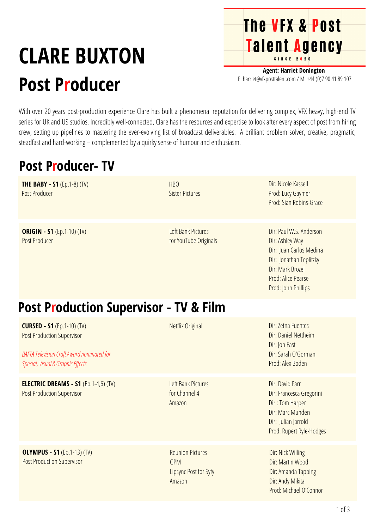## **CLARE BUXTON Post Producer**

**Agent: Harriet Donington** E: harriet@vfxposttalent.com / M: +44 (0)7 90 41 89 107

**The VFX & Post** 

Talent Agency

With over 20 years post-production experience Clare has built a phenomenal reputation for delivering complex, VFX heavy, high-end TV series for UK and US studios. Incredibly well-connected, Clare has the resources and expertise to look after every aspect of post from hiring crew, setting up pipelines to mastering the ever-evolving list of broadcast deliverables. A brilliant problem solver, creative, pragmatic, steadfast and hard-working – complemented by a quirky sense of humour and enthusiasm.

## **Post Producer- TV**

**ORIGIN - S1** (Ep.1-10) (TV) Post Producer Left Bank Pictures for YouTube Originals **ELECTRIC DREAMS - S1** (Ep.1-4,6) (TV) Post Production Supervisor Left Bank Pictures for Channel 4 Amazon Dir: Paul W.S.Anderson Dir: Ashley Way Dir: Juan Carlos Medina Dir: Jonathan Teplitzky Dir: Mark Brozel Prod: Alice Pearse Prod: John Phillips Dir: David Farr Dir: Francesca Gregorini Dir : Tom Harper Dir: Marc Munden Dir: Julian Jarrold Prod: Rupert Ryle-Hodges **OLYMPUS - S1** (Ep.1-13) (TV) Post Production Supervisor Reunion Pictures GPM Lipsync Post for Syfy Amazon Dir: Nick Willing Dir: Martin Wood Dir:AmandaTapping Dir: Andy Mikita Prod: Michael O'Connor **Post Production Supervisor - TV & Film CURSED - S1** (Ep.1-10) (TV) Post Production Supervisor **BAFTA Television Craft Award nominated for** *Special,Visual& GraphicEf ects* Dir: Zetna Fuentes Dir: Daniel Nettheim Dir: Jon East Dir:Sarah O'Gorman Prod:Alex Boden Netflix Original **THE BABY - S1** (Ep.1-8) (TV) Post Producer Dir: Nicole Kassell Prod: Lucy Gaymer Prod: Sian Robins-Grace HBO Sister Pictures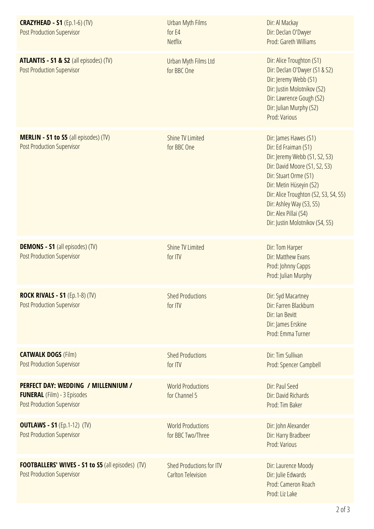| <b>CRAZYHEAD - S1</b> (Ep.1-6) (TV)<br><b>Post Production Supervisor</b>                                       | Urban Myth Films<br>for E4<br><b>Netflix</b>                 | Dir: Al Mackay<br>Dir: Declan O'Dwyer<br>Prod: Gareth Williams                                                                                                                                                                                                                                       |
|----------------------------------------------------------------------------------------------------------------|--------------------------------------------------------------|------------------------------------------------------------------------------------------------------------------------------------------------------------------------------------------------------------------------------------------------------------------------------------------------------|
| <b>ATLANTIS - S1 &amp; S2</b> (all episodes) (TV)<br><b>Post Production Supervisor</b>                         | Urban Myth Films Ltd<br>for BBC One                          | Dir: Alice Troughton (S1)<br>Dir: Declan O'Dwyer (S1 & S2)<br>Dir: Jeremy Webb (S1)<br>Dir: Justin Molotnikov (S2)<br>Dir: Lawrence Gough (S2)<br>Dir: Julian Murphy (S2)<br>Prod: Various                                                                                                           |
| <b>MERLIN - S1 to S5</b> (all episodes) (TV)<br><b>Post Production Supervisor</b>                              | <b>Shine TV Limited</b><br>for BBC One                       | Dir: James Hawes (S1)<br>Dir: Ed Fraiman (S1)<br>Dir: Jeremy Webb (S1, S2, S3)<br>Dir: David Moore (S1, S2, S3)<br>Dir: Stuart Orme (S1)<br>Dir: Metin Hüseyin (S2)<br>Dir: Alice Troughton (S2, S3, S4, S5)<br>Dir: Ashley Way (S3, S5)<br>Dir: Alex Pillai (S4)<br>Dir: Justin Molotnikov (S4, S5) |
| <b>DEMONS - S1</b> (all episodes) (TV)<br><b>Post Production Supervisor</b>                                    | <b>Shine TV Limited</b><br>for ITV                           | Dir: Tom Harper<br>Dir: Matthew Evans<br>Prod: Johnny Capps<br>Prod: Julian Murphy                                                                                                                                                                                                                   |
| <b>ROCK RIVALS - S1</b> (Ep.1-8) (TV)<br><b>Post Production Supervisor</b>                                     | <b>Shed Productions</b><br>for ITV                           | Dir: Syd Macartney<br>Dir: Farren Blackburn<br>Dir: Ian Bevitt<br>Dir: James Erskine<br>Prod: Emma Turner                                                                                                                                                                                            |
| <b>CATWALK DOGS (Film)</b><br><b>Post Production Supervisor</b>                                                | <b>Shed Productions</b><br>for ITV                           | Dir: Tim Sullivan<br>Prod: Spencer Campbell                                                                                                                                                                                                                                                          |
| PERFECT DAY: WEDDING / MILLENNIUM /<br><b>FUNERAL</b> (Film) - 3 Episodes<br><b>Post Production Supervisor</b> | <b>World Productions</b><br>for Channel 5                    | Dir: Paul Seed<br>Dir: David Richards<br>Prod: Tim Baker                                                                                                                                                                                                                                             |
| <b>OUTLAWS - S1</b> (Ep.1-12) (TV)<br><b>Post Production Supervisor</b>                                        | <b>World Productions</b><br>for BBC Two/Three                | Dir: John Alexander<br>Dir: Harry Bradbeer<br>Prod: Various                                                                                                                                                                                                                                          |
| FOOTBALLERS' WIVES - S1 to S5 (all episodes) (TV)<br><b>Post Production Supervisor</b>                         | <b>Shed Productions for ITV</b><br><b>Carlton Television</b> | Dir: Laurence Moody<br>Dir: Julie Edwards<br>Prod: Cameron Roach<br>Prod: Liz Lake                                                                                                                                                                                                                   |